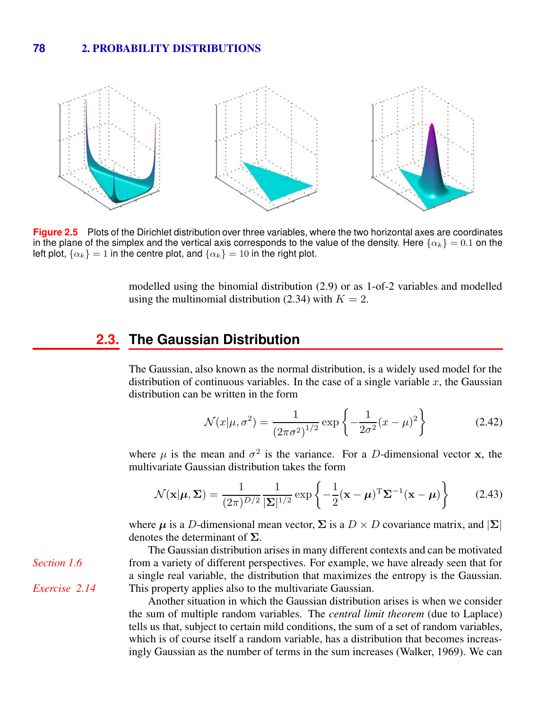

**Figure 2.5** Plots of the Dirichlet distribution over three variables, where the two horizontal axes are coordinates in the plane of the simplex and the vertical axis corresponds to the value of the density. Here  $\{\alpha_k\} = 0.1$  on the left plot,  $\{\alpha_k\} = 1$  in the centre plot, and  $\{\alpha_k\} = 10$  in the right plot.

modelled using the binomial distribution (2.9) or as 1-of-2 variables and modelled using the multinomial distribution (2.34) with  $K = 2$ .

# **2.3. The Gaussian Distribution**

The Gaussian, also known as the normal distribution, is a widely used model for the distribution of continuous variables. In the case of a single variable  $x$ , the Gaussian distribution can be written in the form

$$
\mathcal{N}(x|\mu, \sigma^2) = \frac{1}{(2\pi\sigma^2)^{1/2}} \exp\left\{-\frac{1}{2\sigma^2}(x-\mu)^2\right\}
$$
 (2.42)

where  $\mu$  is the mean and  $\sigma^2$  is the variance. For a D-dimensional vector **x**, the multivariate Gaussian distribution takes the form

$$
\mathcal{N}(\mathbf{x}|\boldsymbol{\mu}, \boldsymbol{\Sigma}) = \frac{1}{(2\pi)^{D/2}} \frac{1}{|\boldsymbol{\Sigma}|^{1/2}} \exp\left\{-\frac{1}{2}(\mathbf{x} - \boldsymbol{\mu})^{\mathrm{T}} \boldsymbol{\Sigma}^{-1}(\mathbf{x} - \boldsymbol{\mu})\right\}
$$
(2.43)

where  $\mu$  is a D-dimensional mean vector,  $\Sigma$  is a  $D \times D$  covariance matrix, and  $|\Sigma|$ denotes the determinant of **Σ**.

The Gaussian distribution arises in many different contexts and can be motivated Section 1.6 from a variety of different perspectives. For example, we have already seen that for a single real variable, the distribution that maximizes the entropy is the Gaussian. *Exercise 2.14* This property applies also to the multivariate Gaussian.

> Another situation in which the Gaussian distribution arises is when we consider the sum of multiple random variables. The *central limit theorem* (due to Laplace) tells us that, subject to certain mild conditions, the sum of a set of random variables, which is of course itself a random variable, has a distribution that becomes increasingly Gaussian as the number of terms in the sum increases (Walker, 1969). We can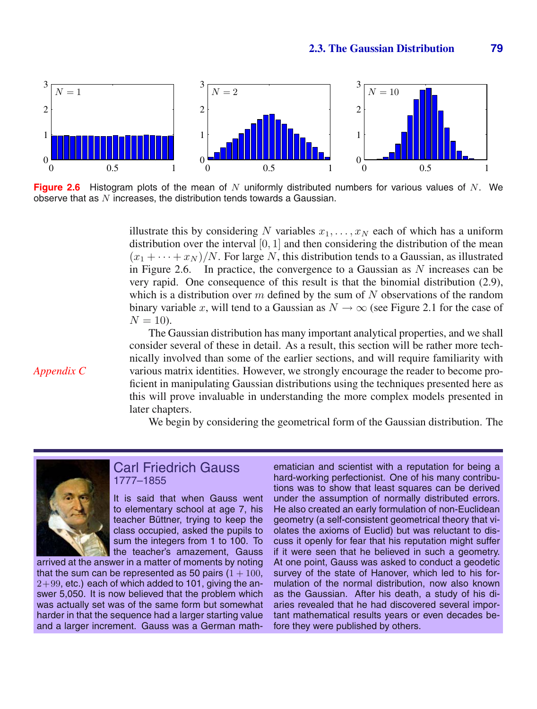

**Figure 2.6** Histogram plots of the mean of N uniformly distributed numbers for various values of N. We observe that as  $N$  increases, the distribution tends towards a Gaussian.

illustrate this by considering N variables  $x_1, \ldots, x_N$  each of which has a uniform distribution over the interval  $[0, 1]$  and then considering the distribution of the mean  $(x_1 + \cdots + x_N)/N$ . For large N, this distribution tends to a Gaussian, as illustrated in Figure 2.6. In practice, the convergence to a Gaussian as  $N$  increases can be very rapid. One consequence of this result is that the binomial distribution (2.9), which is a distribution over  $m$  defined by the sum of  $N$  observations of the random binary variable x, will tend to a Gaussian as  $N \to \infty$  (see Figure 2.1 for the case of  $N = 10$ ).

The Gaussian distribution has many important analytical properties, and we shall consider several of these in detail. As a result, this section will be rather more technically involved than some of the earlier sections, and will require familiarity with *Appendix C* various matrix identities. However, we strongly encourage the reader to become proficient in manipulating Gaussian distributions using the techniques presented here as this will prove invaluable in understanding the more complex models presented in later chapters.

We begin by considering the geometrical form of the Gaussian distribution. The



## Carl Friedrich Gauss 1777–1855

It is said that when Gauss went to elementary school at age 7, his teacher Büttner, trying to keep the class occupied, asked the pupils to sum the integers from 1 to 100. To the teacher's amazement, Gauss

arrived at the answer in a matter of moments by noting that the sum can be represented as 50 pairs  $(1 + 100)$ ,  $2+99$ , etc.) each of which added to 101, giving the answer 5,050. It is now believed that the problem which was actually set was of the same form but somewhat harder in that the sequence had a larger starting value and a larger increment. Gauss was a German mathematician and scientist with a reputation for being a hard-working perfectionist. One of his many contributions was to show that least squares can be derived under the assumption of normally distributed errors. He also created an early formulation of non-Euclidean geometry (a self-consistent geometrical theory that violates the axioms of Euclid) but was reluctant to discuss it openly for fear that his reputation might suffer if it were seen that he believed in such a geometry. At one point, Gauss was asked to conduct a geodetic survey of the state of Hanover, which led to his formulation of the normal distribution, now also known as the Gaussian. After his death, a study of his diaries revealed that he had discovered several important mathematical results years or even decades before they were published by others.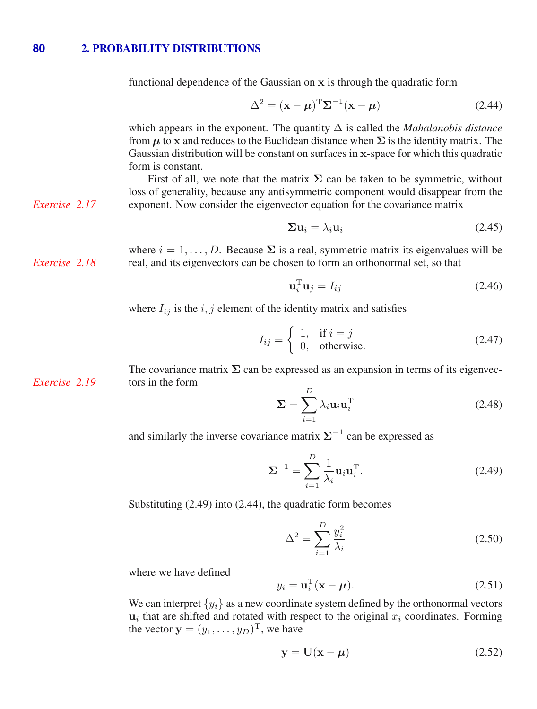functional dependence of the Gaussian on **x** is through the quadratic form

$$
\Delta^2 = (\mathbf{x} - \boldsymbol{\mu})^{\mathrm{T}} \boldsymbol{\Sigma}^{-1} (\mathbf{x} - \boldsymbol{\mu})
$$
 (2.44)

which appears in the exponent. The quantity ∆ is called the *Mahalanobis distance* from  $\mu$  to x and reduces to the Euclidean distance when  $\Sigma$  is the identity matrix. The Gaussian distribution will be constant on surfaces in **x**-space for which this quadratic form is constant.

First of all, we note that the matrix  $\Sigma$  can be taken to be symmetric, without loss of generality, because any antisymmetric component would disappear from the *Exercise 2.17* exponent. Now consider the eigenvector equation for the covariance matrix

$$
\sum u_i = \lambda_i u_i \tag{2.45}
$$

where  $i = 1, \ldots, D$ . Because  $\Sigma$  is a real, symmetric matrix its eigenvalues will be *Exercise* 2.18 real, and its eigenvectors can be chosen to form an orthonormal set, so that

$$
\mathbf{u}_i^{\mathrm{T}} \mathbf{u}_j = I_{ij} \tag{2.46}
$$

where  $I_{ij}$  is the i, j element of the identity matrix and satisfies

$$
I_{ij} = \begin{cases} 1, & \text{if } i = j \\ 0, & \text{otherwise.} \end{cases}
$$
 (2.47)

The covariance matrix  $\Sigma$  can be expressed as an expansion in terms of its eigenvec-*Exercise* 2.19 tors in the form

$$
\Sigma = \sum_{i=1}^{D} \lambda_i \mathbf{u}_i \mathbf{u}_i^{\mathrm{T}}
$$
 (2.48)

and similarly the inverse covariance matrix  $\Sigma^{-1}$  can be expressed as

$$
\Sigma^{-1} = \sum_{i=1}^{D} \frac{1}{\lambda_i} \mathbf{u}_i \mathbf{u}_i^{\mathrm{T}}.
$$
 (2.49)

Substituting (2.49) into (2.44), the quadratic form becomes

$$
\Delta^2 = \sum_{i=1}^D \frac{y_i^2}{\lambda_i} \tag{2.50}
$$

where we have defined

$$
y_i = \mathbf{u}_i^{\mathrm{T}}(\mathbf{x} - \boldsymbol{\mu}).
$$
 (2.51)

We can interpret  $\{y_i\}$  as a new coordinate system defined by the orthonormal vectors  $u_i$  that are shifted and rotated with respect to the original  $x_i$  coordinates. Forming the vector  $\mathbf{y} = (y_1, \dots, y_D)^\mathrm{T}$ , we have

$$
y = U(x - \mu) \tag{2.52}
$$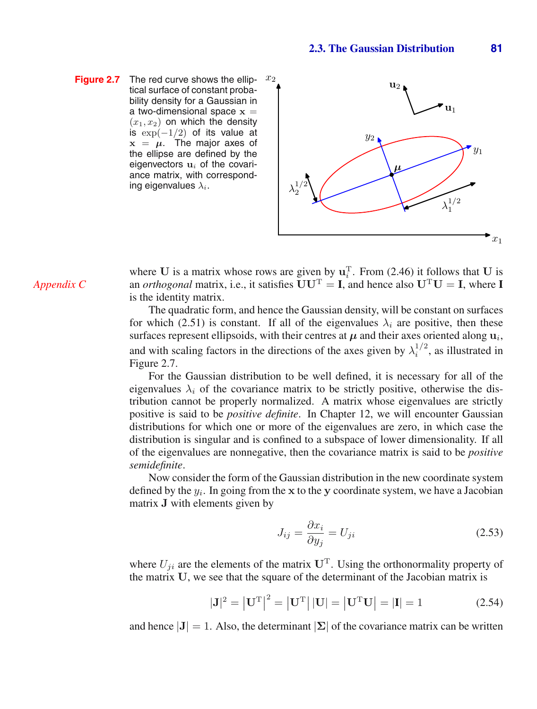**Figure 2.7** The red curve shows the elliptical surface of constant probability density for a Gaussian in a two-dimensional space **x** =  $(x_1, x_2)$  on which the density is  $\exp(-1/2)$  of its value at  $x = \mu$ . The major axes of the ellipse are defined by the eigenvectors  $\mathbf{u}_i$  of the covariance matrix, with corresponding eigenvalues  $\lambda_i$ .



where **U** is a matrix whose rows are given by  $\mathbf{u}_k^T$ . From (2.46) it follows that **U** is<br>an *orthogonal* matrix i.e. it satisfies  $\mathbf{III}^T = \mathbf{I}$  and hence also  $\mathbf{II}^T\mathbf{II} = \mathbf{I}$  where **I** *Appendix C* an *orthogonal* matrix, i.e., it satisfies  $\mathbf{U}\mathbf{U}^{\mathrm{T}} = \mathbf{I}$ , and hence also  $\mathbf{U}^{\mathrm{T}}\mathbf{U} = \mathbf{I}$ , where **I** is the identity matrix is the identity matrix.

> The quadratic form, and hence the Gaussian density, will be constant on surfaces for which (2.51) is constant. If all of the eigenvalues  $\lambda_i$  are positive, then these surfaces represent ellipsoids, with their centres at  $\mu$  and their axes oriented along  $\mathbf{u}_i$ , and with scaling factors in the directions of the axes given by  $\lambda_i^{1/2}$ , as illustrated in Figure 2.7.

> For the Gaussian distribution to be well defined, it is necessary for all of the eigenvalues  $\lambda_i$  of the covariance matrix to be strictly positive, otherwise the distribution cannot be properly normalized. A matrix whose eigenvalues are strictly positive is said to be *positive definite*. In Chapter 12, we will encounter Gaussian distributions for which one or more of the eigenvalues are zero, in which case the distribution is singular and is confined to a subspace of lower dimensionality. If all of the eigenvalues are nonnegative, then the covariance matrix is said to be *positive semidefinite*.

> Now consider the form of the Gaussian distribution in the new coordinate system defined by the  $y_i$ . In going from the **x** to the **y** coordinate system, we have a Jacobian matrix **J** with elements given by

$$
J_{ij} = \frac{\partial x_i}{\partial y_j} = U_{ji}
$$
\n(2.53)

where  $U_{ji}$  are the elements of the matrix  $\mathbf{U}^T$ . Using the orthonormality property of the matrix **U**, we see that the square of the determinant of the Jacobian matrix is

$$
|\mathbf{J}|^2 = |\mathbf{U}^{\mathrm{T}}|^2 = |\mathbf{U}^{\mathrm{T}}| |\mathbf{U}| = |\mathbf{U}^{\mathrm{T}} \mathbf{U}| = |\mathbf{I}| = 1
$$
 (2.54)

and hence  $|\mathbf{J}| = 1$ . Also, the determinant  $|\mathbf{\Sigma}|$  of the covariance matrix can be written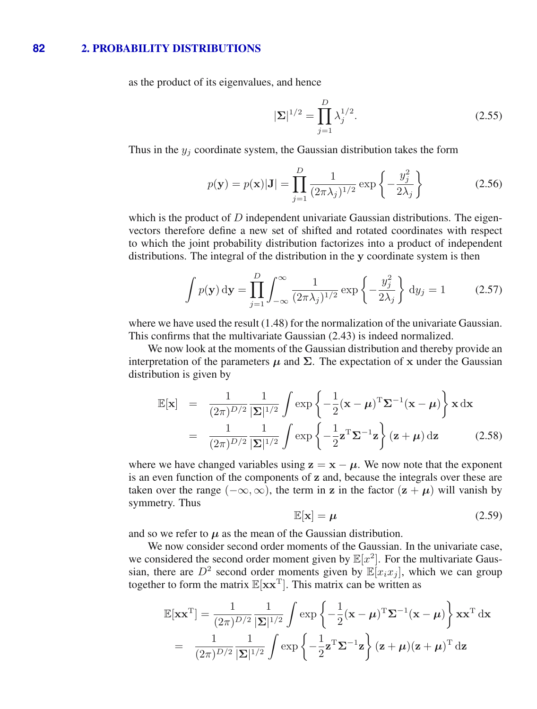as the product of its eigenvalues, and hence

$$
|\Sigma|^{1/2} = \prod_{j=1}^{D} \lambda_j^{1/2}.
$$
 (2.55)

Thus in the  $y_j$  coordinate system, the Gaussian distribution takes the form

$$
p(\mathbf{y}) = p(\mathbf{x})|\mathbf{J}| = \prod_{j=1}^{D} \frac{1}{(2\pi\lambda_j)^{1/2}} \exp\left\{-\frac{y_j^2}{2\lambda_j}\right\}
$$
 (2.56)

which is the product of  $D$  independent univariate Gaussian distributions. The eigenvectors therefore define a new set of shifted and rotated coordinates with respect to which the joint probability distribution factorizes into a product of independent distributions. The integral of the distribution in the **y** coordinate system is then

$$
\int p(\mathbf{y}) \, \mathrm{d}\mathbf{y} = \prod_{j=1}^{D} \int_{-\infty}^{\infty} \frac{1}{(2\pi\lambda_j)^{1/2}} \exp\left\{-\frac{y_j^2}{2\lambda_j}\right\} \, \mathrm{d}y_j = 1 \tag{2.57}
$$

where we have used the result  $(1.48)$  for the normalization of the univariate Gaussian. This confirms that the multivariate Gaussian (2.43) is indeed normalized.

We now look at the moments of the Gaussian distribution and thereby provide an interpretation of the parameters  $\mu$  and  $\Sigma$ . The expectation of x under the Gaussian distribution is given by

$$
\mathbb{E}[\mathbf{x}] = \frac{1}{(2\pi)^{D/2}} \frac{1}{|\mathbf{\Sigma}|^{1/2}} \int \exp\left\{-\frac{1}{2}(\mathbf{x} - \boldsymbol{\mu})^{\mathrm{T}} \mathbf{\Sigma}^{-1}(\mathbf{x} - \boldsymbol{\mu})\right\} \mathbf{x} d\mathbf{x}
$$

$$
= \frac{1}{(2\pi)^{D/2}} \frac{1}{|\mathbf{\Sigma}|^{1/2}} \int \exp\left\{-\frac{1}{2} \mathbf{z}^{\mathrm{T}} \mathbf{\Sigma}^{-1} \mathbf{z}\right\} (\mathbf{z} + \boldsymbol{\mu}) d\mathbf{z} \qquad (2.58)
$$

where we have changed variables using  $z = x - \mu$ . We now note that the exponent is an even function of the components of **z** and, because the integrals over these are taken over the range ( $-\infty, \infty$ ), the term in **z** in the factor  $(\mathbf{z} + \boldsymbol{\mu})$  will vanish by symmetry. Thus

$$
\mathbb{E}[\mathbf{x}] = \boldsymbol{\mu} \tag{2.59}
$$

and so we refer to  $\mu$  as the mean of the Gaussian distribution.

We now consider second order moments of the Gaussian. In the univariate case, we considered the second order moment given by  $\mathbb{E}[x^2]$ . For the multivariate Gaussian, there are  $D^2$  second order moments given by  $\mathbb{E}[x_ix_j]$ , which we can group together to form the matrix  $\mathbb{E}[\mathbf{x} \mathbf{x}^{\mathrm{T}}]$ . This matrix can be written as

$$
\mathbb{E}[\mathbf{x}\mathbf{x}^{\mathrm{T}}] = \frac{1}{(2\pi)^{D/2}} \frac{1}{|\mathbf{\Sigma}|^{1/2}} \int \exp\left\{-\frac{1}{2}(\mathbf{x} - \boldsymbol{\mu})^{\mathrm{T}} \mathbf{\Sigma}^{-1}(\mathbf{x} - \boldsymbol{\mu})\right\} \mathbf{x}\mathbf{x}^{\mathrm{T}} d\mathbf{x}
$$

$$
= \frac{1}{(2\pi)^{D/2}} \frac{1}{|\mathbf{\Sigma}|^{1/2}} \int \exp\left\{-\frac{1}{2} \mathbf{z}^{\mathrm{T}} \mathbf{\Sigma}^{-1} \mathbf{z}\right\} (\mathbf{z} + \boldsymbol{\mu})(\mathbf{z} + \boldsymbol{\mu})^{\mathrm{T}} d\mathbf{z}
$$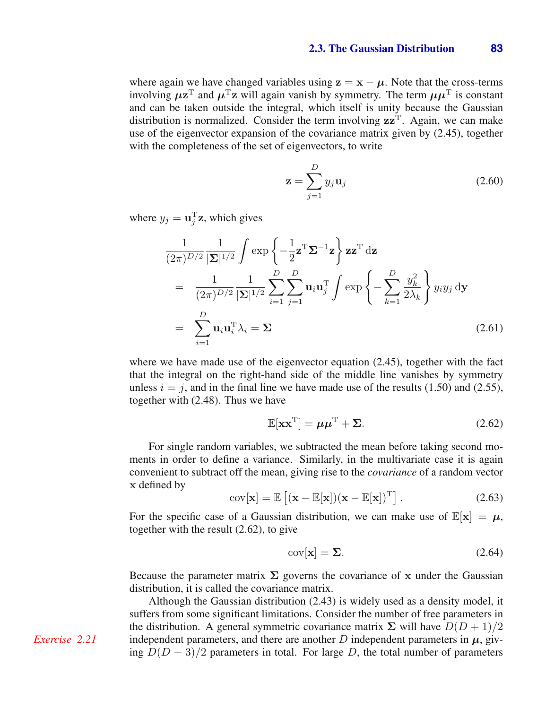where again we have changed variables using  $z = x - \mu$ . Note that the cross-terms involving  $\mu \mathbf{z}^T$  and  $\mu^T \mathbf{z}$  will again vanish by symmetry. The term  $\mu \mu^T$  is constant and can be taken outside the integral, which itself is unity because the Gaussian distribution is normalized. Consider the term involving  $\mathbf{z} \mathbf{z}^T$ . Again, we can make use of the eigenvector expansion of the covariance matrix given by (2.45), together with the completeness of the set of eigenvectors, to write

$$
\mathbf{z} = \sum_{j=1}^{D} y_j \mathbf{u}_j \tag{2.60}
$$

where  $y_j = \mathbf{u}_j^{\mathrm{T}} \mathbf{z}$ , which gives

$$
\frac{1}{(2\pi)^{D/2}} \frac{1}{|\mathbf{\Sigma}|^{1/2}} \int \exp\left\{-\frac{1}{2} \mathbf{z}^{\mathrm{T}} \mathbf{\Sigma}^{-1} \mathbf{z}\right\} \mathbf{z} \mathbf{z}^{\mathrm{T}} d\mathbf{z}
$$
\n
$$
= \frac{1}{(2\pi)^{D/2}} \frac{1}{|\mathbf{\Sigma}|^{1/2}} \sum_{i=1}^{D} \sum_{j=1}^{D} \mathbf{u}_i \mathbf{u}_j^{\mathrm{T}} \int \exp\left\{-\sum_{k=1}^{D} \frac{y_k^2}{2\lambda_k}\right\} y_i y_j d\mathbf{y}
$$
\n
$$
= \sum_{i=1}^{D} \mathbf{u}_i \mathbf{u}_i^{\mathrm{T}} \lambda_i = \mathbf{\Sigma}
$$
\n(2.61)

where we have made use of the eigenvector equation (2.45), together with the fact that the integral on the right-hand side of the middle line vanishes by symmetry unless  $i = j$ , and in the final line we have made use of the results (1.50) and (2.55), together with (2.48). Thus we have

$$
\mathbb{E}[\mathbf{x}\mathbf{x}^{\mathrm{T}}] = \boldsymbol{\mu}\boldsymbol{\mu}^{\mathrm{T}} + \boldsymbol{\Sigma}.
$$
 (2.62)

For single random variables, we subtracted the mean before taking second moments in order to define a variance. Similarly, in the multivariate case it is again convenient to subtract off the mean, giving rise to the *covariance* of a random vector **x** defined by

$$
cov[\mathbf{x}] = \mathbb{E}\left[ (\mathbf{x} - \mathbb{E}[\mathbf{x}])(\mathbf{x} - \mathbb{E}[\mathbf{x}])^{\mathrm{T}} \right].
$$
 (2.63)

For the specific case of a Gaussian distribution, we can make use of  $\mathbb{E}[\mathbf{x}] = \mu$ , together with the result (2.62), to give

$$
cov[\mathbf{x}] = \Sigma. \tag{2.64}
$$

Because the parameter matrix  $\Sigma$  governs the covariance of x under the Gaussian distribution, it is called the covariance matrix.

Although the Gaussian distribution (2.43) is widely used as a density model, it suffers from some significant limitations. Consider the number of free parameters in the distribution. A general symmetric covariance matrix  $\Sigma$  will have  $D(D+1)/2$ *Exercise 2.21* independent parameters, and there are another D independent parameters in  $\mu$ , giving  $D(D+3)/2$  parameters in total. For large D, the total number of parameters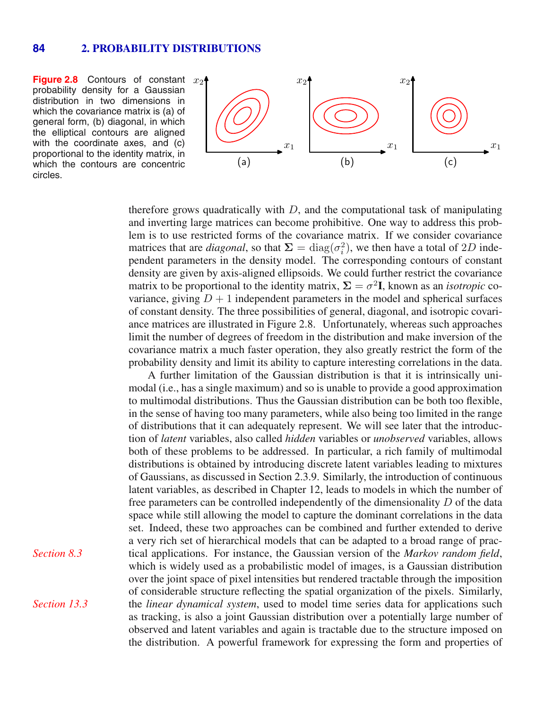**Figure 2.8** Contours of constant  $x_2$ probability density for a Gaussian distribution in two dimensions in which the covariance matrix is (a) of general form, (b) diagonal, in which the elliptical contours are aligned with the coordinate axes, and (c) proportional to the identity matrix, in which the contours are concentric circles.



therefore grows quadratically with  $D$ , and the computational task of manipulating and inverting large matrices can become prohibitive. One way to address this problem is to use restricted forms of the covariance matrix. If we consider covariance matrices that are *diagonal*, so that  $\Sigma = diag(\sigma_i^2)$ , we then have a total of 2D independent parameters in the density model. The corresponding contours of constant pendent parameters in the density model. The corresponding contours of constant density are given by axis-aligned ellipsoids. We could further restrict the covariance matrix to be proportional to the identity matrix,  $\Sigma = \sigma^2 I$ , known as an *isotropic* covariance, giving  $D + 1$  independent parameters in the model and spherical surfaces of constant density. The three possibilities of general, diagonal, and isotropic covariance matrices are illustrated in Figure 2.8. Unfortunately, whereas such approaches limit the number of degrees of freedom in the distribution and make inversion of the covariance matrix a much faster operation, they also greatly restrict the form of the probability density and limit its ability to capture interesting correlations in the data.

A further limitation of the Gaussian distribution is that it is intrinsically unimodal (i.e., has a single maximum) and so is unable to provide a good approximation to multimodal distributions. Thus the Gaussian distribution can be both too flexible, in the sense of having too many parameters, while also being too limited in the range of distributions that it can adequately represent. We will see later that the introduction of *latent* variables, also called *hidden* variables or *unobserved* variables, allows both of these problems to be addressed. In particular, a rich family of multimodal distributions is obtained by introducing discrete latent variables leading to mixtures of Gaussians, as discussed in Section 2.3.9. Similarly, the introduction of continuous latent variables, as described in Chapter 12, leads to models in which the number of free parameters can be controlled independently of the dimensionality  $D$  of the data space while still allowing the model to capture the dominant correlations in the data set. Indeed, these two approaches can be combined and further extended to derive a very rich set of hierarchical models that can be adapted to a broad range of prac-*Section 8.3* tical applications. For instance, the Gaussian version of the *Markov random field*, which is widely used as a probabilistic model of images, is a Gaussian distribution over the joint space of pixel intensities but rendered tractable through the imposition of considerable structure reflecting the spatial organization of the pixels. Similarly, *Section 13.3* the *linear dynamical system*, used to model time series data for applications such as tracking, is also a joint Gaussian distribution over a potentially large number of observed and latent variables and again is tractable due to the structure imposed on the distribution. A powerful framework for expressing the form and properties of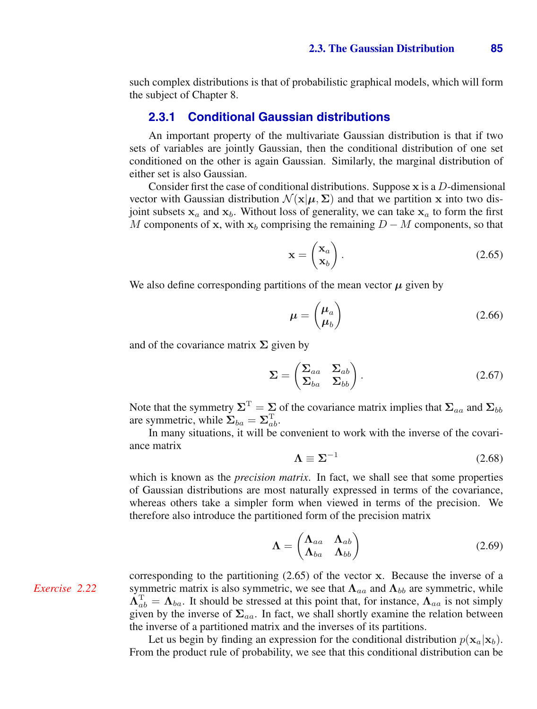such complex distributions is that of probabilistic graphical models, which will form the subject of Chapter 8.

## **2.3.1 Conditional Gaussian distributions**

An important property of the multivariate Gaussian distribution is that if two sets of variables are jointly Gaussian, then the conditional distribution of one set conditioned on the other is again Gaussian. Similarly, the marginal distribution of either set is also Gaussian.

Consider first the case of conditional distributions. Suppose **x** is a <sup>D</sup>-dimensional vector with Gaussian distribution  $\mathcal{N}(\mathbf{x}|\boldsymbol{\mu}, \boldsymbol{\Sigma})$  and that we partition **x** into two disjoint subsets  $x_a$  and  $x_b$ . Without loss of generality, we can take  $x_a$  to form the first M components of **x**, with  $x_b$  comprising the remaining  $D - M$  components, so that

$$
\mathbf{x} = \begin{pmatrix} \mathbf{x}_a \\ \mathbf{x}_b \end{pmatrix} . \tag{2.65}
$$

We also define corresponding partitions of the mean vector  $\mu$  given by

$$
\mu = \begin{pmatrix} \mu_a \\ \mu_b \end{pmatrix} \tag{2.66}
$$

and of the covariance matrix  $\Sigma$  given by

$$
\Sigma = \begin{pmatrix} \Sigma_{aa} & \Sigma_{ab} \\ \Sigma_{ba} & \Sigma_{bb} \end{pmatrix} . \tag{2.67}
$$

Note that the symmetry  $\Sigma^T = \Sigma$  of the covariance matrix implies that  $\Sigma_{aa}$  and  $\Sigma_{bb}$ are symmetric, while  $\Sigma_{ba} = \Sigma_{ab}^{\mathrm{T}}$ .<br>In many situations, it will be

In many situations, it will be convenient to work with the inverse of the covariance matrix

$$
\Lambda \equiv \Sigma^{-1} \tag{2.68}
$$

which is known as the *precision matrix*. In fact, we shall see that some properties of Gaussian distributions are most naturally expressed in terms of the covariance, whereas others take a simpler form when viewed in terms of the precision. We therefore also introduce the partitioned form of the precision matrix

$$
\Lambda = \begin{pmatrix} \Lambda_{aa} & \Lambda_{ab} \\ \Lambda_{ba} & \Lambda_{bb} \end{pmatrix}
$$
 (2.69)

corresponding to the partitioning (2.65) of the vector **x**. Because the inverse of a *Exercise* 2.22 symmetric matrix is also symmetric, we see that  $\Lambda_{aa}$  and  $\Lambda_{bb}$  are symmetric, while  $\Lambda_{ab}^{\text{T}} = \Lambda_{ba}$ . It should be stressed at this point that, for instance,  $\Lambda_{aa}$  is not simply given by the inverse of  $\Sigma$ . In fact, we shall shortly examine the relation between given by the inverse of  $\Sigma_{aa}$ . In fact, we shall shortly examine the relation between the inverse of a partitioned matrix and the inverses of its partitions.

> Let us begin by finding an expression for the conditional distribution  $p(\mathbf{x}_a|\mathbf{x}_b)$ . From the product rule of probability, we see that this conditional distribution can be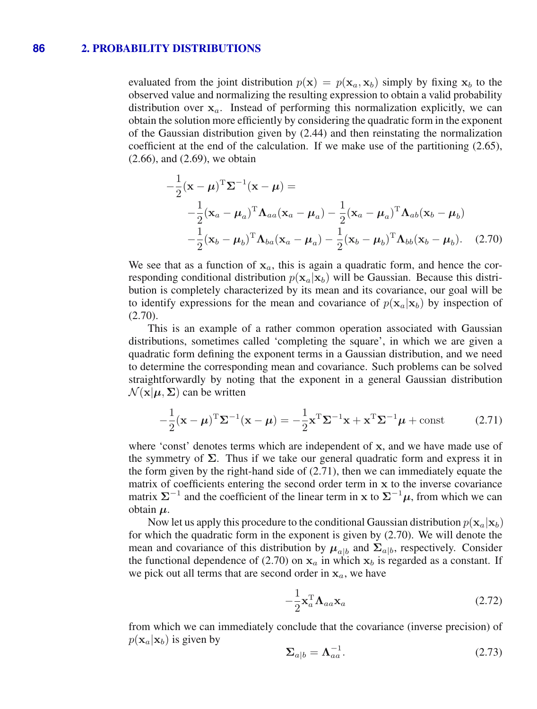evaluated from the joint distribution  $p(\mathbf{x}) = p(\mathbf{x}_a, \mathbf{x}_b)$  simply by fixing  $\mathbf{x}_b$  to the observed value and normalizing the resulting expression to obtain a valid probability distribution over  $x_a$ . Instead of performing this normalization explicitly, we can obtain the solution more efficiently by considering the quadratic form in the exponent of the Gaussian distribution given by (2.44) and then reinstating the normalization coefficient at the end of the calculation. If we make use of the partitioning (2.65), (2.66), and (2.69), we obtain

$$
-\frac{1}{2}(\mathbf{x} - \boldsymbol{\mu})^{\mathrm{T}} \boldsymbol{\Sigma}^{-1}(\mathbf{x} - \boldsymbol{\mu}) =
$$
  

$$
-\frac{1}{2}(\mathbf{x}_a - \boldsymbol{\mu}_a)^{\mathrm{T}} \boldsymbol{\Lambda}_{aa}(\mathbf{x}_a - \boldsymbol{\mu}_a) - \frac{1}{2}(\mathbf{x}_a - \boldsymbol{\mu}_a)^{\mathrm{T}} \boldsymbol{\Lambda}_{ab}(\mathbf{x}_b - \boldsymbol{\mu}_b)
$$
  

$$
-\frac{1}{2}(\mathbf{x}_b - \boldsymbol{\mu}_b)^{\mathrm{T}} \boldsymbol{\Lambda}_{ba}(\mathbf{x}_a - \boldsymbol{\mu}_a) - \frac{1}{2}(\mathbf{x}_b - \boldsymbol{\mu}_b)^{\mathrm{T}} \boldsymbol{\Lambda}_{bb}(\mathbf{x}_b - \boldsymbol{\mu}_b).
$$
 (2.70)

We see that as a function of  $x_a$ , this is again a quadratic form, and hence the corresponding conditional distribution  $p(\mathbf{x}_a|\mathbf{x}_b)$  will be Gaussian. Because this distribution is completely characterized by its mean and its covariance, our goal will be to identify expressions for the mean and covariance of  $p(\mathbf{x}_a|\mathbf{x}_b)$  by inspection of (2.70).

This is an example of a rather common operation associated with Gaussian distributions, sometimes called 'completing the square', in which we are given a quadratic form defining the exponent terms in a Gaussian distribution, and we need to determine the corresponding mean and covariance. Such problems can be solved straightforwardly by noting that the exponent in a general Gaussian distribution  $\mathcal{N}(\mathbf{x}|\boldsymbol{\mu}, \boldsymbol{\Sigma})$  can be written

$$
-\frac{1}{2}(\mathbf{x} - \boldsymbol{\mu})^{\mathrm{T}} \boldsymbol{\Sigma}^{-1}(\mathbf{x} - \boldsymbol{\mu}) = -\frac{1}{2} \mathbf{x}^{\mathrm{T}} \boldsymbol{\Sigma}^{-1} \mathbf{x} + \mathbf{x}^{\mathrm{T}} \boldsymbol{\Sigma}^{-1} \boldsymbol{\mu} + \text{const}
$$
 (2.71)

where 'const' denotes terms which are independent of **x**, and we have made use of the symmetry of  $\Sigma$ . Thus if we take our general quadratic form and express it in the form given by the right-hand side of  $(2.71)$ , then we can immediately equate the matrix of coefficients entering the second order term in **x** to the inverse covariance<br>matrix  $\Sigma^{-1}$  and the coefficient of the linear term in **x** to  $\Sigma^{-1}$  (*t* from which we can matrix  $\Sigma^{-1}$  and the coefficient of the linear term in **x** to  $\Sigma^{-1}\mu$ , from which we can obtain  $\mu$ obtain *µ*.

Now let us apply this procedure to the conditional Gaussian distribution  $p(\mathbf{x}_a|\mathbf{x}_b)$ for which the quadratic form in the exponent is given by (2.70). We will denote the mean and covariance of this distribution by  $\mu_{a|b}$  and  $\Sigma_{a|b}$ , respectively. Consider the functional dependence of (2.70) on  $x_a$  in which  $x_b$  is regarded as a constant. If we pick out all terms that are second order in  $x_a$ , we have

$$
-\frac{1}{2}\mathbf{x}_{a}^{\mathrm{T}}\boldsymbol{\Lambda}_{aa}\mathbf{x}_{a}
$$
 (2.72)

from which we can immediately conclude that the covariance (inverse precision) of  $p(\mathbf{x}_a|\mathbf{x}_b)$  is given by

$$
\Sigma_{a|b} = \Lambda_{aa}^{-1}.
$$
\n(2.73)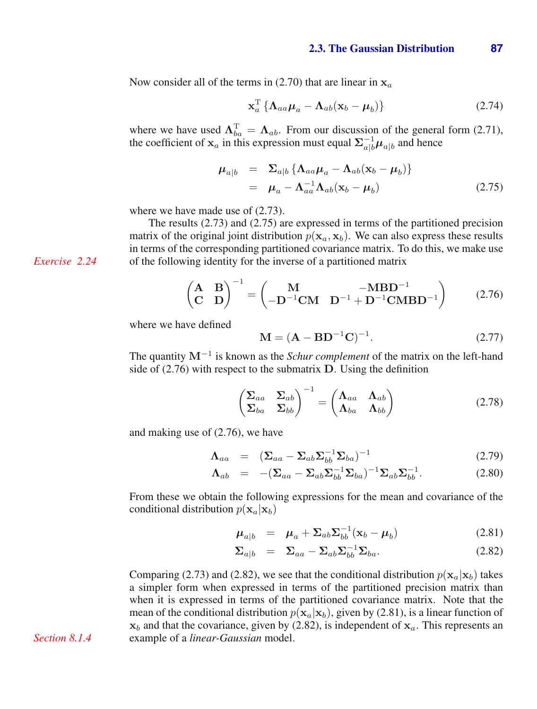Now consider all of the terms in  $(2.70)$  that are linear in  $x_a$ 

$$
\mathbf{x}_a^{\mathrm{T}} \left\{ \mathbf{\Lambda}_{aa} \boldsymbol{\mu}_a - \mathbf{\Lambda}_{ab} (\mathbf{x}_b - \boldsymbol{\mu}_b) \right\} \tag{2.74}
$$

where we have used  $\Lambda_{ba}^{\text{T}} = \Lambda_{ab}$ . From our discussion of the general form (2.71), the coefficient of x in this expression must equal  $\Sigma^{-1}u$  is and hence the coefficient of  $\mathbf{x}_a$  in this expression must equal  $\sum_{a|b}^{-1} \mu_{a|b}$  and hence

$$
\mu_{a|b} = \Sigma_{a|b} \{ \Lambda_{aa} \mu_a - \Lambda_{ab} (\mathbf{x}_b - \mu_b) \}
$$
  
=  $\mu_a - \Lambda_{aa}^{-1} \Lambda_{ab} (\mathbf{x}_b - \mu_b)$  (2.75)

where we have made use of (2.73).

The results (2.73) and (2.75) are expressed in terms of the partitioned precision matrix of the original joint distribution  $p(\mathbf{x}_a, \mathbf{x}_b)$ . We can also express these results in terms of the corresponding partitioned covariance matrix. To do this, we make use *Exercise* 2.24 of the following identity for the inverse of a partitioned matrix

$$
\begin{pmatrix} A & B \ C & D \end{pmatrix}^{-1} = \begin{pmatrix} M & -MBD^{-1} \\ -D^{-1}CM & D^{-1} + D^{-1}CMBD^{-1} \end{pmatrix}
$$
 (2.76)

where we have defined

$$
M = (A - BD^{-1}C)^{-1}.
$$
 (2.77)

The quantity **M**<sup>−</sup><sup>1</sup> is known as the *Schur complement* of the matrix on the left-hand side of (2.76) with respect to the submatrix **D**. Using the definition

$$
\begin{pmatrix} \Sigma_{aa} & \Sigma_{ab} \\ \Sigma_{ba} & \Sigma_{bb} \end{pmatrix}^{-1} = \begin{pmatrix} \Lambda_{aa} & \Lambda_{ab} \\ \Lambda_{ba} & \Lambda_{bb} \end{pmatrix}
$$
 (2.78)

and making use of (2.76), we have

$$
\Lambda_{aa} = (\Sigma_{aa} - \Sigma_{ab} \Sigma_{bb}^{-1} \Sigma_{ba})^{-1}
$$
\n(2.79)

$$
\Lambda_{ab} = -(\Sigma_{aa} - \Sigma_{ab}\Sigma_{bb}^{-1}\Sigma_{ba})^{-1}\Sigma_{ab}\Sigma_{bb}^{-1}.
$$
 (2.80)

From these we obtain the following expressions for the mean and covariance of the conditional distribution  $p(\mathbf{x}_a|\mathbf{x}_b)$ 

$$
\boldsymbol{\mu}_{a|b} = \boldsymbol{\mu}_a + \boldsymbol{\Sigma}_{ab} \boldsymbol{\Sigma}_{bb}^{-1} (\mathbf{x}_b - \boldsymbol{\mu}_b) \tag{2.81}
$$

$$
\Sigma_{a|b} = \Sigma_{aa} - \Sigma_{ab} \Sigma_{bb}^{-1} \Sigma_{ba}.
$$
 (2.82)

Comparing (2.73) and (2.82), we see that the conditional distribution  $p(\mathbf{x}_a|\mathbf{x}_b)$  takes a simpler form when expressed in terms of the partitioned precision matrix than when it is expressed in terms of the partitioned covariance matrix. Note that the mean of the conditional distribution  $p(\mathbf{x}_a|\mathbf{x}_b)$ , given by (2.81), is a linear function of  $x_b$  and that the covariance, given by (2.82), is independent of  $x_a$ . This represents an *Section 8.1.4* example of a *linear-Gaussian* model.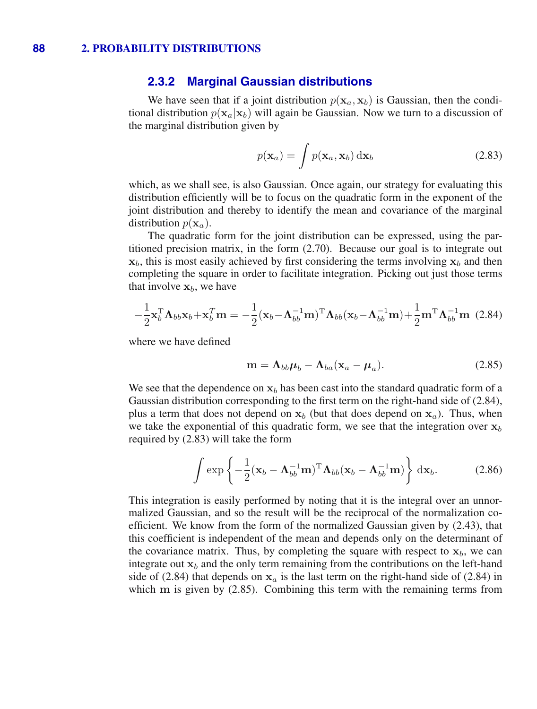## **2.3.2 Marginal Gaussian distributions**

We have seen that if a joint distribution  $p(\mathbf{x}_a, \mathbf{x}_b)$  is Gaussian, then the conditional distribution  $p(\mathbf{x}_a|\mathbf{x}_b)$  will again be Gaussian. Now we turn to a discussion of the marginal distribution given by

$$
p(\mathbf{x}_a) = \int p(\mathbf{x}_a, \mathbf{x}_b) \, \mathrm{d}\mathbf{x}_b \tag{2.83}
$$

which, as we shall see, is also Gaussian. Once again, our strategy for evaluating this distribution efficiently will be to focus on the quadratic form in the exponent of the joint distribution and thereby to identify the mean and covariance of the marginal distribution  $p(\mathbf{x}_a)$ .

The quadratic form for the joint distribution can be expressed, using the partitioned precision matrix, in the form (2.70). Because our goal is to integrate out  $x_b$ , this is most easily achieved by first considering the terms involving  $x_b$  and then completing the square in order to facilitate integration. Picking out just those terms that involve  $x_b$ , we have

$$
-\frac{1}{2}\mathbf{x}_{b}^{\mathrm{T}}\mathbf{\Lambda}_{bb}\mathbf{x}_{b}+\mathbf{x}_{b}^{\mathrm{T}}\mathbf{m}=-\frac{1}{2}(\mathbf{x}_{b}-\mathbf{\Lambda}_{bb}^{-1}\mathbf{m})^{\mathrm{T}}\mathbf{\Lambda}_{bb}(\mathbf{x}_{b}-\mathbf{\Lambda}_{bb}^{-1}\mathbf{m})+\frac{1}{2}\mathbf{m}^{\mathrm{T}}\mathbf{\Lambda}_{bb}^{-1}\mathbf{m}
$$
 (2.84)

where we have defined

$$
\mathbf{m} = \mathbf{\Lambda}_{bb} \boldsymbol{\mu}_b - \mathbf{\Lambda}_{ba} (\mathbf{x}_a - \boldsymbol{\mu}_a). \tag{2.85}
$$

We see that the dependence on  $x_b$  has been cast into the standard quadratic form of a Gaussian distribution corresponding to the first term on the right-hand side of (2.84), plus a term that does not depend on  $x_b$  (but that does depend on  $x_a$ ). Thus, when we take the exponential of this quadratic form, we see that the integration over  $\mathbf{x}_b$ required by (2.83) will take the form

$$
\int \exp\left\{-\frac{1}{2}(\mathbf{x}_b - \mathbf{\Lambda}_{bb}^{-1}\mathbf{m})^{\mathrm{T}}\mathbf{\Lambda}_{bb}(\mathbf{x}_b - \mathbf{\Lambda}_{bb}^{-1}\mathbf{m})\right\} d\mathbf{x}_b.
$$
 (2.86)

This integration is easily performed by noting that it is the integral over an unnormalized Gaussian, and so the result will be the reciprocal of the normalization coefficient. We know from the form of the normalized Gaussian given by (2.43), that this coefficient is independent of the mean and depends only on the determinant of the covariance matrix. Thus, by completing the square with respect to  $x_b$ , we can integrate out  $\mathbf{x}_b$  and the only term remaining from the contributions on the left-hand side of  $(2.84)$  that depends on  $x_a$  is the last term on the right-hand side of  $(2.84)$  in which **m** is given by (2.85). Combining this term with the remaining terms from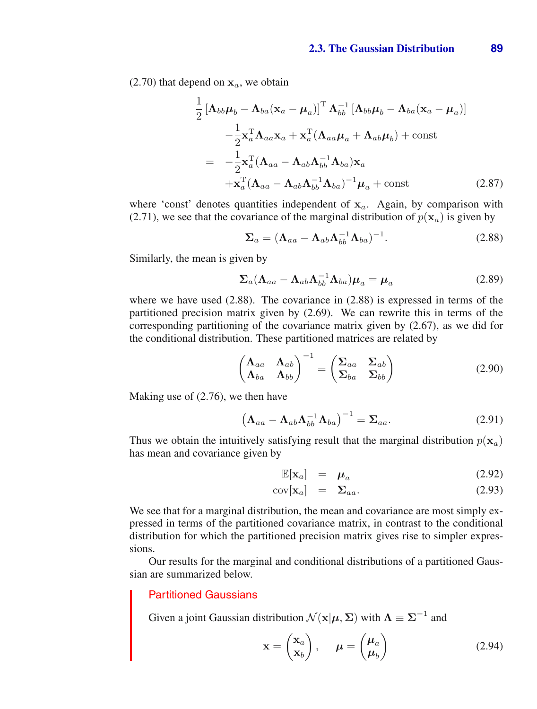(2.70) that depend on  $x_a$ , we obtain

$$
\frac{1}{2} \left[ \mathbf{\Lambda}_{bb} \boldsymbol{\mu}_b - \mathbf{\Lambda}_{ba} (\mathbf{x}_a - \boldsymbol{\mu}_a) \right]^{\mathrm{T}} \mathbf{\Lambda}_{bb}^{-1} \left[ \mathbf{\Lambda}_{bb} \boldsymbol{\mu}_b - \mathbf{\Lambda}_{ba} (\mathbf{x}_a - \boldsymbol{\mu}_a) \right] \n- \frac{1}{2} \mathbf{x}_a^{\mathrm{T}} \mathbf{\Lambda}_{aa} \mathbf{x}_a + \mathbf{x}_a^{\mathrm{T}} (\mathbf{\Lambda}_{aa} \boldsymbol{\mu}_a + \mathbf{\Lambda}_{ab} \boldsymbol{\mu}_b) + \text{const} \n= - \frac{1}{2} \mathbf{x}_a^{\mathrm{T}} (\mathbf{\Lambda}_{aa} - \mathbf{\Lambda}_{ab} \mathbf{\Lambda}_{bb}^{-1} \mathbf{\Lambda}_{ba}) \mathbf{x}_a \n+ \mathbf{x}_a^{\mathrm{T}} (\mathbf{\Lambda}_{aa} - \mathbf{\Lambda}_{ab} \mathbf{\Lambda}_{bb}^{-1} \mathbf{\Lambda}_{ba})^{-1} \boldsymbol{\mu}_a + \text{const}
$$
\n(2.87)

where 'const' denotes quantities independent of  $x_a$ . Again, by comparison with (2.71), we see that the covariance of the marginal distribution of  $p(\mathbf{x}_a)$  is given by

$$
\Sigma_a = (\Lambda_{aa} - \Lambda_{ab}\Lambda_{bb}^{-1}\Lambda_{ba})^{-1}.
$$
 (2.88)

Similarly, the mean is given by

$$
\Sigma_a (\Lambda_{aa} - \Lambda_{ab} \Lambda_{bb}^{-1} \Lambda_{ba}) \mu_a = \mu_a \tag{2.89}
$$

where we have used  $(2.88)$ . The covariance in  $(2.88)$  is expressed in terms of the partitioned precision matrix given by (2.69). We can rewrite this in terms of the corresponding partitioning of the covariance matrix given by (2.67), as we did for the conditional distribution. These partitioned matrices are related by

$$
\begin{pmatrix}\n\Lambda_{aa} & \Lambda_{ab} \\
\Lambda_{ba} & \Lambda_{bb}\n\end{pmatrix}^{-1} = \begin{pmatrix}\n\Sigma_{aa} & \Sigma_{ab} \\
\Sigma_{ba} & \Sigma_{bb}\n\end{pmatrix}
$$
\n(2.90)

Making use of (2.76), we then have

$$
\left(\Lambda_{aa} - \Lambda_{ab}\Lambda_{bb}^{-1}\Lambda_{ba}\right)^{-1} = \Sigma_{aa}.
$$
\n(2.91)

Thus we obtain the intuitively satisfying result that the marginal distribution  $p(\mathbf{x}_a)$ has mean and covariance given by

$$
\mathbb{E}[\mathbf{x}_a] = \boldsymbol{\mu}_a \tag{2.92}
$$

$$
cov[\mathbf{x}_a] = \Sigma_{aa}.
$$
 (2.93)

We see that for a marginal distribution, the mean and covariance are most simply expressed in terms of the partitioned covariance matrix, in contrast to the conditional distribution for which the partitioned precision matrix gives rise to simpler expressions.

Our results for the marginal and conditional distributions of a partitioned Gaussian are summarized below.

## Partitioned Gaussians

Given a joint Gaussian distribution  $\mathcal{N}(\mathbf{x}|\boldsymbol{\mu}, \boldsymbol{\Sigma})$  with  $\boldsymbol{\Lambda} \equiv \boldsymbol{\Sigma}^{-1}$  and

$$
\mathbf{x} = \begin{pmatrix} \mathbf{x}_a \\ \mathbf{x}_b \end{pmatrix}, \quad \boldsymbol{\mu} = \begin{pmatrix} \boldsymbol{\mu}_a \\ \boldsymbol{\mu}_b \end{pmatrix}
$$
 (2.94)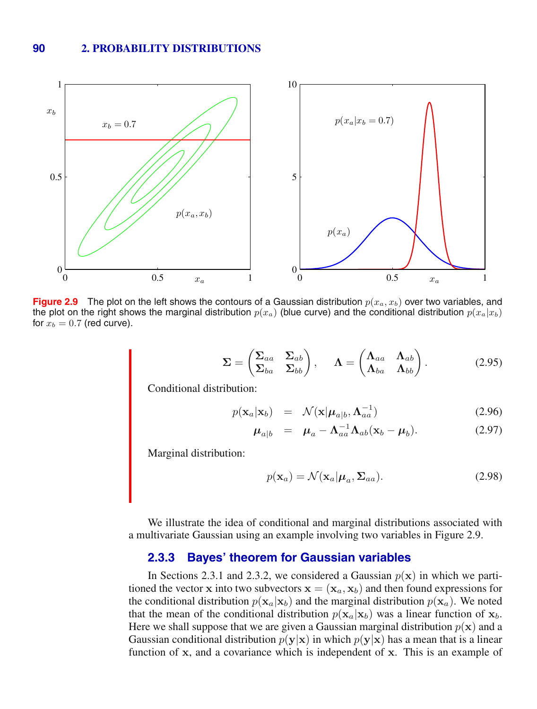

**Figure 2.9** The plot on the left shows the contours of a Gaussian distribution  $p(x_a, x_b)$  over two variables, and the plot on the right shows the marginal distribution  $p(x_a)$  (blue curve) and the conditional distribution  $p(x_a|x_b)$ for  $x_b = 0.7$  (red curve).

$$
\Sigma = \begin{pmatrix} \Sigma_{aa} & \Sigma_{ab} \\ \Sigma_{ba} & \Sigma_{bb} \end{pmatrix}, \quad \Lambda = \begin{pmatrix} \Lambda_{aa} & \Lambda_{ab} \\ \Lambda_{ba} & \Lambda_{bb} \end{pmatrix}.
$$
 (2.95)

Conditional distribution:

$$
p(\mathbf{x}_a|\mathbf{x}_b) = \mathcal{N}(\mathbf{x}|\boldsymbol{\mu}_{a|b}, \boldsymbol{\Lambda}_{aa}^{-1})
$$
 (2.96)

$$
\boldsymbol{\mu}_{a|b} = \boldsymbol{\mu}_a - \boldsymbol{\Lambda}_{aa}^{-1} \boldsymbol{\Lambda}_{ab} (\mathbf{x}_b - \boldsymbol{\mu}_b). \tag{2.97}
$$

Marginal distribution:

$$
p(\mathbf{x}_a) = \mathcal{N}(\mathbf{x}_a | \boldsymbol{\mu}_a, \boldsymbol{\Sigma}_{aa}).
$$
\n(2.98)

We illustrate the idea of conditional and marginal distributions associated with a multivariate Gaussian using an example involving two variables in Figure 2.9.

## **2.3.3 Bayes' theorem for Gaussian variables**

In Sections 2.3.1 and 2.3.2, we considered a Gaussian  $p(x)$  in which we partitioned the vector **x** into two subvectors  $\mathbf{x} = (\mathbf{x}_a, \mathbf{x}_b)$  and then found expressions for the conditional distribution  $p(\mathbf{x}_a|\mathbf{x}_b)$  and the marginal distribution  $p(\mathbf{x}_a)$ . We noted that the mean of the conditional distribution  $p(\mathbf{x}_a|\mathbf{x}_b)$  was a linear function of  $\mathbf{x}_b$ . Here we shall suppose that we are given a Gaussian marginal distribution  $p(x)$  and a Gaussian conditional distribution  $p(y|x)$  in which  $p(y|x)$  has a mean that is a linear function of **x**, and a covariance which is independent of **x**. This is an example of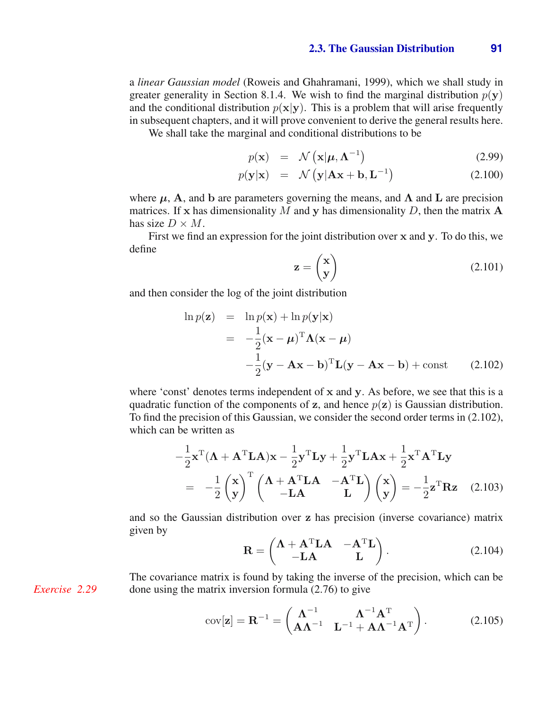a *linear Gaussian model* (Roweis and Ghahramani, 1999), which we shall study in greater generality in Section 8.1.4. We wish to find the marginal distribution  $p(y)$ and the conditional distribution  $p(x|y)$ . This is a problem that will arise frequently in subsequent chapters, and it will prove convenient to derive the general results here.

We shall take the marginal and conditional distributions to be

$$
p(\mathbf{x}) = \mathcal{N}\left(\mathbf{x}|\boldsymbol{\mu}, \boldsymbol{\Lambda}^{-1}\right) \tag{2.99}
$$

$$
p(\mathbf{y}|\mathbf{x}) = \mathcal{N}\left(\mathbf{y}|\mathbf{A}\mathbf{x} + \mathbf{b}, \mathbf{L}^{-1}\right)
$$
 (2.100)

where  $\mu$ , **A**, and **b** are parameters governing the means, and **Λ** and **L** are precision matrices. If **x** has dimensionality M and **y** has dimensionality D, then the matrix  $\bf{A}$ has size  $D \times M$ .

First we find an expression for the joint distribution over **x** and **y**. To do this, we define

$$
z = \begin{pmatrix} x \\ y \end{pmatrix} \tag{2.101}
$$

and then consider the log of the joint distribution

$$
\ln p(\mathbf{z}) = \ln p(\mathbf{x}) + \ln p(\mathbf{y}|\mathbf{x})
$$
  
=  $-\frac{1}{2}(\mathbf{x} - \boldsymbol{\mu})^{\mathrm{T}} \mathbf{\Lambda}(\mathbf{x} - \boldsymbol{\mu})$   
 $-\frac{1}{2}(\mathbf{y} - \mathbf{A}\mathbf{x} - \mathbf{b})^{\mathrm{T}} \mathbf{L}(\mathbf{y} - \mathbf{A}\mathbf{x} - \mathbf{b}) + \text{const}$  (2.102)

where 'const' denotes terms independent of **x** and **y**. As before, we see that this is a quadratic function of the components of **z**, and hence  $p(z)$  is Gaussian distribution. To find the precision of this Gaussian, we consider the second order terms in (2.102), which can be written as

$$
-\frac{1}{2}\mathbf{x}^{\mathrm{T}}(\mathbf{\Lambda} + \mathbf{A}^{\mathrm{T}}\mathbf{L}\mathbf{A})\mathbf{x} - \frac{1}{2}\mathbf{y}^{\mathrm{T}}\mathbf{L}\mathbf{y} + \frac{1}{2}\mathbf{y}^{\mathrm{T}}\mathbf{L}\mathbf{A}\mathbf{x} + \frac{1}{2}\mathbf{x}^{\mathrm{T}}\mathbf{A}^{\mathrm{T}}\mathbf{L}\mathbf{y}
$$

$$
= -\frac{1}{2}\begin{pmatrix} \mathbf{x} \\ \mathbf{y} \end{pmatrix}^{\mathrm{T}} \begin{pmatrix} \mathbf{\Lambda} + \mathbf{A}^{\mathrm{T}}\mathbf{L}\mathbf{A} & -\mathbf{A}^{\mathrm{T}}\mathbf{L} \\ -\mathbf{L}\mathbf{A} & \mathbf{L} \end{pmatrix} \begin{pmatrix} \mathbf{x} \\ \mathbf{y} \end{pmatrix} = -\frac{1}{2}\mathbf{z}^{\mathrm{T}}\mathbf{R}\mathbf{z} \quad (2.103)
$$

and so the Gaussian distribution over **z** has precision (inverse covariance) matrix given by

$$
\mathbf{R} = \begin{pmatrix} \mathbf{\Lambda} + \mathbf{A}^{\mathrm{T}} \mathbf{L} \mathbf{A} & -\mathbf{A}^{\mathrm{T}} \mathbf{L} \\ -\mathbf{L} \mathbf{A} & \mathbf{L} \end{pmatrix}.
$$
 (2.104)

The covariance matrix is found by taking the inverse of the precision, which can be *Exercise* 2.29 done using the matrix inversion formula (2.76) to give

$$
cov[\mathbf{z}] = \mathbf{R}^{-1} = \begin{pmatrix} \mathbf{\Lambda}^{-1} & \mathbf{\Lambda}^{-1} \mathbf{A}^{T} \\ \mathbf{A} \mathbf{\Lambda}^{-1} & \mathbf{L}^{-1} + \mathbf{A} \mathbf{\Lambda}^{-1} \mathbf{A}^{T} \end{pmatrix}.
$$
 (2.105)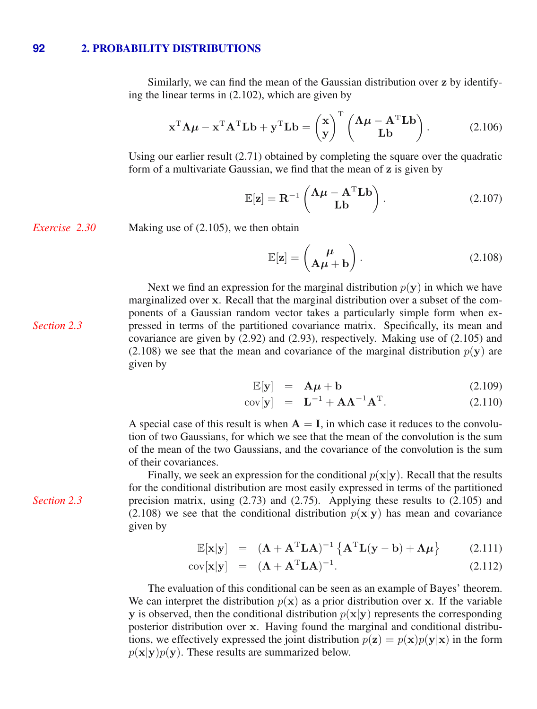Similarly, we can find the mean of the Gaussian distribution over **z** by identifying the linear terms in (2.102), which are given by

$$
\mathbf{x}^{\mathrm{T}} \mathbf{\Lambda} \boldsymbol{\mu} - \mathbf{x}^{\mathrm{T}} \mathbf{A}^{\mathrm{T}} \mathbf{L} \mathbf{b} + \mathbf{y}^{\mathrm{T}} \mathbf{L} \mathbf{b} = \begin{pmatrix} \mathbf{x} \\ \mathbf{y} \end{pmatrix}^{\mathrm{T}} \begin{pmatrix} \mathbf{\Lambda} \boldsymbol{\mu} - \mathbf{A}^{\mathrm{T}} \mathbf{L} \mathbf{b} \\ \mathbf{L} \mathbf{b} \end{pmatrix}.
$$
 (2.106)

Using our earlier result (2.71) obtained by completing the square over the quadratic form of a multivariate Gaussian, we find that the mean of **z** is given by

$$
\mathbb{E}[\mathbf{z}] = \mathbf{R}^{-1} \begin{pmatrix} \mathbf{\Lambda} \boldsymbol{\mu} - \mathbf{A}^{\mathrm{T}} \mathbf{L} \mathbf{b} \\ \mathbf{L} \mathbf{b} \end{pmatrix} . \tag{2.107}
$$

*Exercise* 2.30 Making use of (2.105), we then obtain

$$
\mathbb{E}[\mathbf{z}] = \begin{pmatrix} \mu \\ \mathbf{A}\mu + \mathbf{b} \end{pmatrix}.
$$
 (2.108)

Next we find an expression for the marginal distribution  $p(y)$  in which we have marginalized over **x**. Recall that the marginal distribution over a subset of the components of a Gaussian random vector takes a particularly simple form when ex-*Section 2.3* pressed in terms of the partitioned covariance matrix. Specifically, its mean and covariance are given by (2.92) and (2.93), respectively. Making use of (2.105) and (2.108) we see that the mean and covariance of the marginal distribution  $p(\mathbf{y})$  are given by

$$
\mathbb{E}[\mathbf{y}] = \mathbf{A}\boldsymbol{\mu} + \mathbf{b} \tag{2.109}
$$

$$
cov[\mathbf{y}] = \mathbf{L}^{-1} + \mathbf{A}\mathbf{\Lambda}^{-1}\mathbf{A}^{\mathrm{T}}.
$$
 (2.110)

A special case of this result is when  $A = I$ , in which case it reduces to the convolution of two Gaussians, for which we see that the mean of the convolution is the sum of the mean of the two Gaussians, and the covariance of the convolution is the sum of their covariances.

Finally, we seek an expression for the conditional  $p(x|y)$ . Recall that the results for the conditional distribution are most easily expressed in terms of the partitioned *Section 2.3* precision matrix, using (2.73) and (2.75). Applying these results to (2.105) and (2.108) we see that the conditional distribution  $p(x|\mathbf{y})$  has mean and covariance given by

$$
\mathbb{E}[\mathbf{x}|\mathbf{y}] = (\mathbf{\Lambda} + \mathbf{A}^{\mathrm{T}} \mathbf{L} \mathbf{A})^{-1} \{ \mathbf{A}^{\mathrm{T}} \mathbf{L} (\mathbf{y} - \mathbf{b}) + \mathbf{\Lambda} \boldsymbol{\mu} \}
$$
(2.111)

$$
cov[\mathbf{x}|\mathbf{y}] = (\mathbf{\Lambda} + \mathbf{A}^{\mathrm{T}} \mathbf{L} \mathbf{A})^{-1}.
$$
 (2.112)

The evaluation of this conditional can be seen as an example of Bayes' theorem. We can interpret the distribution  $p(x)$  as a prior distribution over x. If the variable **y** is observed, then the conditional distribution  $p(\mathbf{x}|\mathbf{y})$  represents the corresponding posterior distribution over **x**. Having found the marginal and conditional distributions, we effectively expressed the joint distribution  $p(\mathbf{z}) = p(\mathbf{x})p(\mathbf{y}|\mathbf{x})$  in the form  $p(\mathbf{x}|\mathbf{y})p(\mathbf{y})$ . These results are summarized below.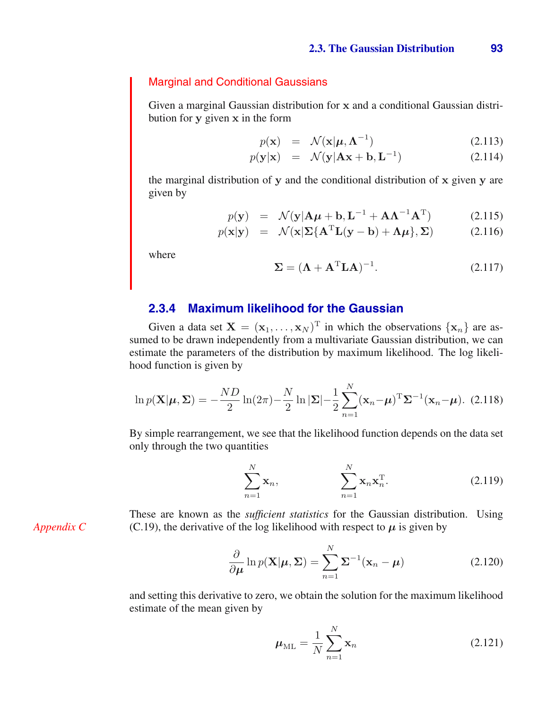## Marginal and Conditional Gaussians

Given a marginal Gaussian distribution for **x** and a conditional Gaussian distribution for **y** given **x** in the form

$$
p(\mathbf{x}) = \mathcal{N}(\mathbf{x}|\boldsymbol{\mu}, \boldsymbol{\Lambda}^{-1})
$$
 (2.113)

$$
p(\mathbf{y}|\mathbf{x}) = \mathcal{N}(\mathbf{y}|\mathbf{A}\mathbf{x} + \mathbf{b}, \mathbf{L}^{-1})
$$
 (2.114)

the marginal distribution of **y** and the conditional distribution of **x** given **y** are given by

$$
p(\mathbf{y}) = \mathcal{N}(\mathbf{y}|\mathbf{A}\boldsymbol{\mu} + \mathbf{b}, \mathbf{L}^{-1} + \mathbf{A}\boldsymbol{\Lambda}^{-1}\mathbf{A}^{\mathrm{T}})
$$
(2.115)

$$
p(\mathbf{x}|\mathbf{y}) = \mathcal{N}(\mathbf{x}|\mathbf{\Sigma}\{\mathbf{A}^{T}\mathbf{L}(\mathbf{y}-\mathbf{b})+\mathbf{\Lambda}\boldsymbol{\mu}\}, \mathbf{\Sigma})
$$
 (2.116)

where

$$
\Sigma = (\Lambda + A^{T}LA)^{-1}.
$$
 (2.117)

## **2.3.4 Maximum likelihood for the Gaussian**

Given a data set  $\mathbf{X} = (\mathbf{x}_1, \dots, \mathbf{x}_N)^T$  in which the observations  $\{\mathbf{x}_n\}$  are assumed to be drawn independently from a multivariate Gaussian distribution, we can estimate the parameters of the distribution by maximum likelihood. The log likelihood function is given by

$$
\ln p(\mathbf{X}|\boldsymbol{\mu}, \boldsymbol{\Sigma}) = -\frac{ND}{2} \ln(2\pi) - \frac{N}{2} \ln |\boldsymbol{\Sigma}| - \frac{1}{2} \sum_{n=1}^{N} (\mathbf{x}_n - \boldsymbol{\mu})^{\mathrm{T}} \boldsymbol{\Sigma}^{-1} (\mathbf{x}_n - \boldsymbol{\mu}).
$$
 (2.118)

By simple rearrangement, we see that the likelihood function depends on the data set only through the two quantities

$$
\sum_{n=1}^{N} \mathbf{x}_n, \qquad \sum_{n=1}^{N} \mathbf{x}_n \mathbf{x}_n^{\mathrm{T}}.
$$
 (2.119)

These are known as the *sufficient statistics* for the Gaussian distribution. Using *Appendix C* (C.19), the derivative of the log likelihood with respect to  $\mu$  is given by

N

$$
\frac{\partial}{\partial \mu} \ln p(\mathbf{X}|\boldsymbol{\mu}, \boldsymbol{\Sigma}) = \sum_{n=1}^{N} \boldsymbol{\Sigma}^{-1}(\mathbf{x}_n - \boldsymbol{\mu})
$$
\n(2.120)

and setting this derivative to zero, we obtain the solution for the maximum likelihood estimate of the mean given by

$$
\mu_{\rm ML} = \frac{1}{N} \sum_{n=1}^{N} \mathbf{x}_n
$$
\n(2.121)